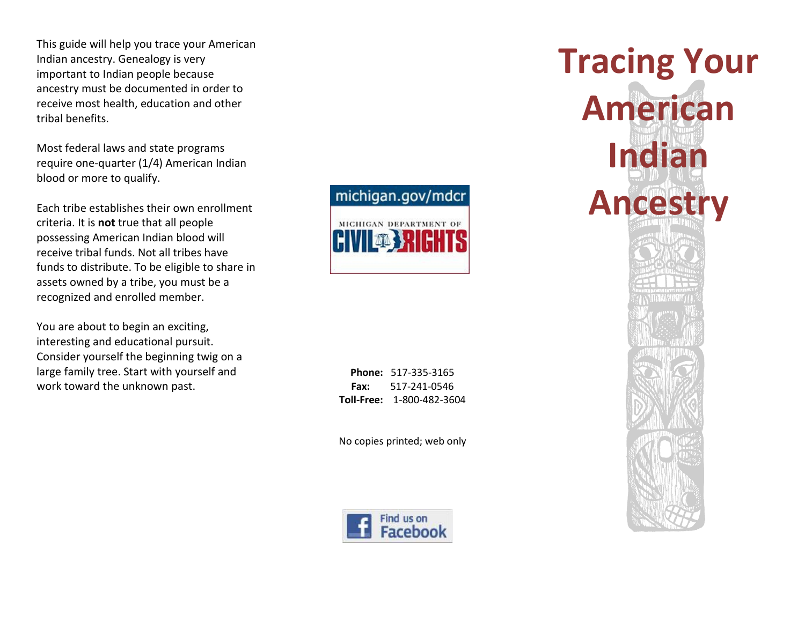This guide will help you trace your American Indian ancestry. Genealogy is very important to Indian people because ancestry must be documented in order to receive most health, education and other tribal benefits.

Most federal laws and state programs require one-quarter (1/4) American Indian blood or more to qualify.

Each tribe establishes their own enrollment criteria. It is **not** true that all people possessing American Indian blood will receive tribal funds. Not all tribes have funds to distribute. To be eligible to share in assets owned by a tribe, you must be a recognized and enrolled member.

You are about to begin an exciting, interesting and educational pursuit. Consider yourself the beginning twig on a large family tree. Start with yourself and work toward the unknown past.



**Phone:** 517-335-3165 **Fax:** 517-241-0546 **Toll-Free:** 1-800-482-3604

No copies printed; web only



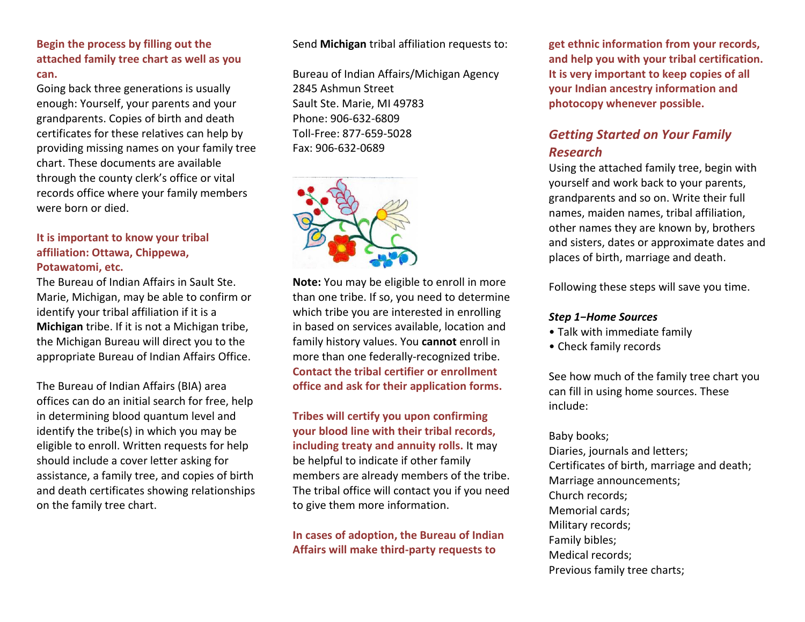# **Begin the process by filling out the attached family tree chart as well as you can.**

Going back three generations is usually enough: Yourself, your parents and your grandparents. Copies of birth and death certificates for these relatives can help by providing missing names on your family tree chart. These documents are available through the county clerk's office or vital records office where your family members were born or died.

# **It is important to know your tribal affiliation: Ottawa, Chippewa, Potawatomi, etc.**

The Bureau of Indian Affairs in Sault Ste. Marie, Michigan, may be able to confirm or identify your tribal affiliation if it is a **Michigan** tribe. If it is not a Michigan tribe, the Michigan Bureau will direct you to the appropriate Bureau of Indian Affairs Office.

The Bureau of Indian Affairs (BIA) area offices can do an initial search for free, help in determining blood quantum level and identify the tribe(s) in which you may be eligible to enroll. Written requests for help should include a cover letter asking for assistance, a family tree, and copies of birth and death certificates showing relationships on the family tree chart.

Send **Michigan** tribal affiliation requests to:

Bureau of Indian Affairs/Michigan Agency 2845 Ashmun Street Sault Ste. Marie, MI 49783 Phone: 906-632-6809 Toll-Free: 877-659-5028 Fax: 906-632-0689



**Note:** You may be eligible to enroll in more than one tribe. If so, you need to determine which tribe you are interested in enrolling in based on services available, location and family history values. You **cannot** enroll in more than one federally-recognized tribe. **Contact the tribal certifier or enrollment office and ask for their application forms.** 

**Tribes will certify you upon confirming your blood line with their tribal records, including treaty and annuity rolls.** It may be helpful to indicate if other family members are already members of the tribe. The tribal office will contact you if you need to give them more information.

**In cases of adoption, the Bureau of Indian Affairs will make third-party requests to** 

**get ethnic information from your records, and help you with your tribal certification. It is very important to keep copies of all your Indian ancestry information and photocopy whenever possible.**

# *Getting Started on Your Family Research*

Using the attached family tree, begin with yourself and work back to your parents, grandparents and so on. Write their full names, maiden names, tribal affiliation, other names they are known by, brothers and sisters, dates or approximate dates and places of birth, marriage and death.

Following these steps will save you time.

#### *Step 1−Home Sources*

- Talk with immediate family
- Check family records

See how much of the family tree chart you can fill in using home sources. These include:

#### Baby books;

Diaries, journals and letters; Certificates of birth, marriage and death; Marriage announcements; Church records; Memorial cards; Military records; Family bibles; Medical records; Previous family tree charts;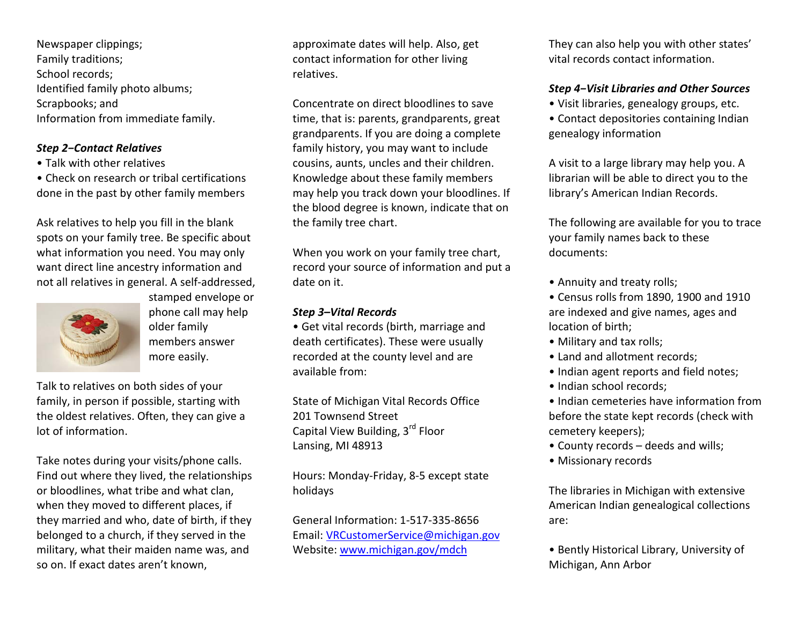Newspaper clippings; Family traditions; School records; Identified family photo albums; Scrapbooks; and Information from immediate family.

## *Step 2−Contact Relatives*

- Talk with other relatives
- Check on research or tribal certifications done in the past by other family members

Ask relatives to help you fill in the blank spots on your family tree. Be specific about what information you need. You may only want direct line ancestry information and not all relatives in general. A self-addressed,



stamped envelope or phone call may help older family members answer more easily.

Talk to relatives on both sides of your family, in person if possible, starting with the oldest relatives. Often, they can give a lot of information.

Take notes during your visits/phone calls. Find out where they lived, the relationships or bloodlines, what tribe and what clan, when they moved to different places, if they married and who, date of birth, if they belonged to a church, if they served in the military, what their maiden name was, and so on. If exact dates aren't known,

approximate dates will help. Also, get contact information for other living relatives.

Concentrate on direct bloodlines to save time, that is: parents, grandparents, great grandparents. If you are doing a complete family history, you may want to include cousins, aunts, uncles and their children. Knowledge about these family members may help you track down your bloodlines. If the blood degree is known, indicate that on the family tree chart.

When you work on your family tree chart, record your source of information and put a date on it.

# *Step 3–Vital Records*

• Get vital records (birth, marriage and death certificates). These were usually recorded at the county level and are available from:

State of Michigan Vital Records Office 201 Townsend Street Capital View Building, 3rd Floor Lansing, MI 48913

Hours: Monday-Friday, 8-5 except state holidays

General Information: 1-517-335-8656 Email: [VRCustomerService@michigan.gov](mailto:VRCustomerService@michigan.gov) Website: [www.michigan.gov/mdch](http://www.michigan.gov/mdch)

They can also help you with other states' vital records contact information.

# *Step 4−Visit Libraries and Other Sources*

- Visit libraries, genealogy groups, etc.
- Contact depositories containing Indian genealogy information

A visit to a large library may help you. A librarian will be able to direct you to the library's American Indian Records.

The following are available for you to trace your family names back to these documents:

- Annuity and treaty rolls;
- Census rolls from 1890, 1900 and 1910 are indexed and give names, ages and location of birth;
- Military and tax rolls;
- Land and allotment records;
- Indian agent reports and field notes;
- Indian school records;

• Indian cemeteries have information from before the state kept records (check with cemetery keepers);

- County records deeds and wills;
- Missionary records

The libraries in Michigan with extensive American Indian genealogical collections are:

• Bently Historical Library, University of Michigan, Ann Arbor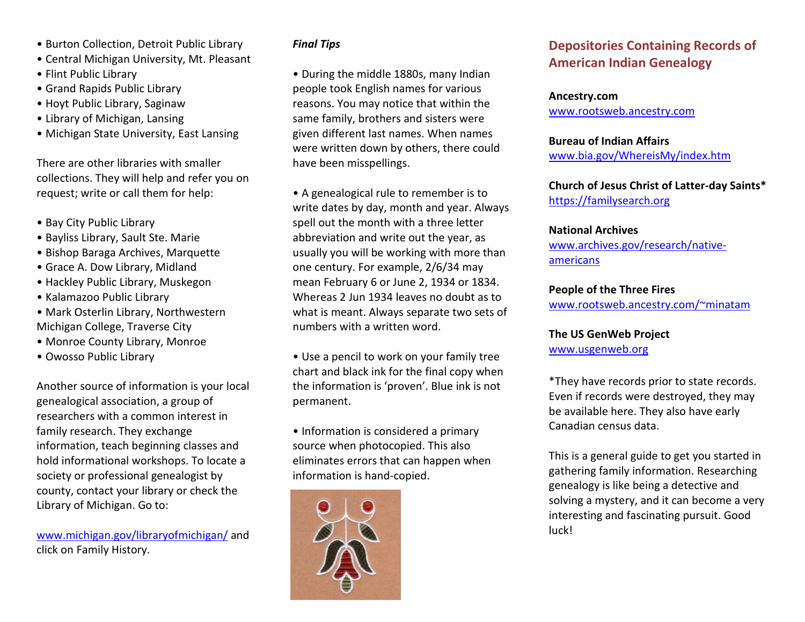- Burton Collection, Detroit Public Library
- Central Michigan University, Mt. Pleasant
- Flint Public Library
- Grand Rapids Public Library
- Hoyt Public Library, Saginaw
- Library of Michigan, Lansing
- Michigan State University, East Lansing

There are other libraries with smaller collections. They will help and refer you on request; write or call them for help:

- Bay City Public Library
- Bayliss Library, Sault Ste. Marie
- Bishop Baraga Archives, Marquette
- Grace A. Dow Library, Midland
- Hackley Public Library, Muskegon
- Kalamazoo Public Library
- Mark Osterlin Library, Northwestern Michigan College, Traverse City
- Monroe County Library, Monroe
- Owosso Public Library

Another source of information is your local genealogical association, a group of researchers with a common interest in family research. They exchange information, teach beginning classes and hold informational workshops. To locate a society or professional genealogist by county, contact your library or check the Library of Michigan. Go to:

[www.michigan.gov/libraryofmichigan/](http://www.michigan.gov/libraryofmichigan/) and click on Family History.

#### *Final Tips*

• During the middle 1880s, many Indian people took English names for various reasons. You may notice that within the same family, brothers and sisters were given different last names. When names were written down by others, there could have been misspellings.

• A genealogical rule to remember is to write dates by day, month and year. Always spell out the month with a three letter abbreviation and write out the year, as usually you will be working with more than one century. For example, 2/6/34 may mean February 6 or June 2, 1934 or 1834. Whereas 2 Jun 1934 leaves no doubt as to what is meant. Always separate two sets of numbers with a written word.

• Use a pencil to work on your family tree chart and black ink for the final copy when the information is 'proven'. Blue ink is not permanent.

• Information is considered a primary source when photocopied. This also eliminates errors that can happen when information is hand-copied.



# **Depositories Containing Records of American Indian Genealogy**

#### **Ancestry.com**

[www.rootsweb.ancestry.com](http://www.rootsweb.ancestry.com/)

# **Bureau of Indian Affairs**

[www.bia.gov/WhereisMy/index.htm](http://www.bia.gov/WhereisMy/index.htm)

# **Church of Jesus Christ of Latter-day Saints\*** [https://familysearch.org](https://familysearch.org/)

## **National Archives**

[www.archives.gov/research/native](http://www.archives.gov/research/native-americans)[americans](http://www.archives.gov/research/native-americans)

## **People of the Three Fires**

[www.rootsweb.ancestry.com/~minatam](http://www.rootsweb.ancestry.com/~minatam)

# **The US GenWeb Project**

[www.usgenweb.org](http://www.usgenweb.org/)

\*They have records prior to state records. Even if records were destroyed, they may be available here. They also have early Canadian census data.

This is a general guide to get you started in gathering family information. Researching genealogy is like being a detective and solving a mystery, and it can become a very interesting and fascinating pursuit. Good luck!